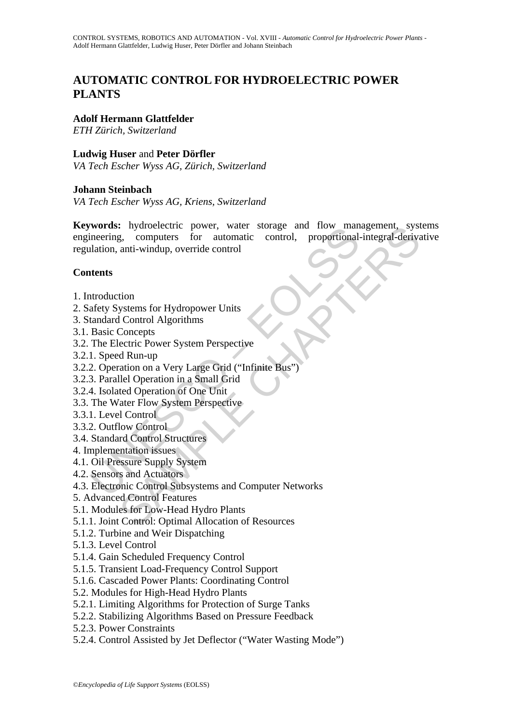# **AUTOMATIC CONTROL FOR HYDROELECTRIC POWER PLANTS**

# **Adolf Hermann Glattfelder**

*ETH Zürich, Switzerland* 

# **Ludwig Huser** and **Peter Dörfler**

*VA Tech Escher Wyss AG, Zürich, Switzerland* 

# **Johann Steinbach**

*VA Tech Escher Wyss AG, Kriens, Switzerland* 

Word's: Hydroelectic power, water storage and How Hampdenering, computers for automatic control, proportional-<br>
alation, anti-windup, override control<br>
alation, anti-windup, override control<br>
atents<br>
tradiard Control Algor Expressed to the control subsection of Resources<br>
Expressed Control and Allocation of Resources and Tow management, system<br>
anti-windup, override control<br>
tion<br>
tion<br>
to Control Algorithms<br>
Concepts<br>
ectric Power System Pe **Keywords:** hydroelectric power, water storage and flow management, systems engineering, computers for automatic control, proportional-integral-derivative regulation, anti-windup, override control

# **Contents**

- 1. Introduction
- 2. Safety Systems for Hydropower Units
- 3. Standard Control Algorithms
- 3.1. Basic Concepts
- 3.2. The Electric Power System Perspective
- 3.2.1. Speed Run-up
- 3.2.2. Operation on a Very Large Grid ("Infinite Bus")
- 3.2.3. Parallel Operation in a Small Grid
- 3.2.4. Isolated Operation of One Unit
- 3.3. The Water Flow System Perspective
- 3.3.1. Level Control
- 3.3.2. Outflow Control
- 3.4. Standard Control Structures
- 4. Implementation issues
- 4.1. Oil Pressure Supply System
- 4.2. Sensors and Actuators
- 4.3. Electronic Control Subsystems and Computer Networks
- 5. Advanced Control Features
- 5.1. Modules for Low-Head Hydro Plants
- 5.1.1. Joint Control: Optimal Allocation of Resources
- 5.1.2. Turbine and Weir Dispatching
- 5.1.3. Level Control
- 5.1.4. Gain Scheduled Frequency Control
- 5.1.5. Transient Load-Frequency Control Support
- 5.1.6. Cascaded Power Plants: Coordinating Control
- 5.2. Modules for High-Head Hydro Plants
- 5.2.1. Limiting Algorithms for Protection of Surge Tanks
- 5.2.2. Stabilizing Algorithms Based on Pressure Feedback
- 5.2.3. Power Constraints
- 5.2.4. Control Assisted by Jet Deflector ("Water Wasting Mode")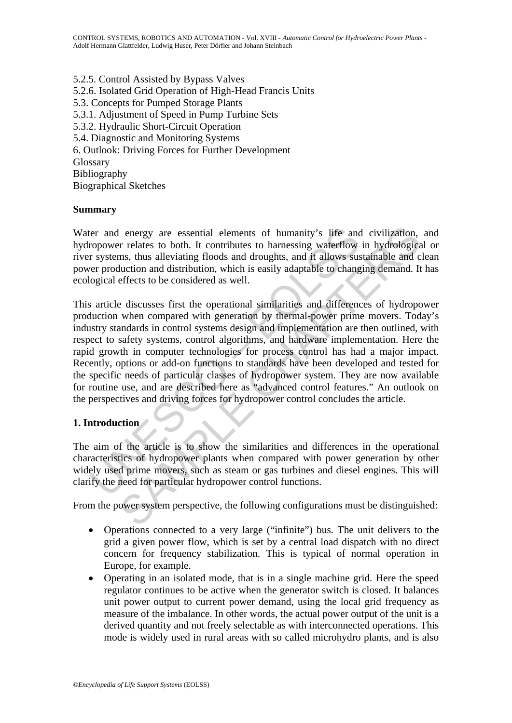5.2.5. Control Assisted by Bypass Valves 5.2.6. Isolated Grid Operation of High-Head Francis Units 5.3. Concepts for Pumped Storage Plants 5.3.1. Adjustment of Speed in Pump Turbine Sets 5.3.2. Hydraulic Short-Circuit Operation 5.4. Diagnostic and Monitoring Systems 6. Outlook: Driving Forces for Further Development **Glossary** Bibliography Biographical Sketches

# **Summary**

Water and energy are essential elements of humanity's life and civilization, and hydropower relates to both. It contributes to harnessing waterflow in hydrological or river systems, thus alleviating floods and droughts, and it allows sustainable and clean power production and distribution, which is easily adaptable to changing demand. It has ecological effects to be considered as well.

re and energy are essential elements of humanity's life ancopower relates to both. It contributes to harnessing waterflow r systems, thus alleviating floods and droughts, and it allows sus er production and distribution, w I energy are essential elements of humanity's life and civilization,<br>
r relates to both. It contributes to harnessing waterflow in hydrologica<br>
ms, thus alleviating floods and droughts, and it allows sustainable and c<br>
flu This article discusses first the operational similarities and differences of hydropower production when compared with generation by thermal-power prime movers. Today's industry standards in control systems design and implementation are then outlined, with respect to safety systems, control algorithms, and hardware implementation. Here the rapid growth in computer technologies for process control has had a major impact. Recently, options or add-on functions to standards have been developed and tested for the specific needs of particular classes of hydropower system. They are now available for routine use, and are described here as "advanced control features." An outlook on the perspectives and driving forces for hydropower control concludes the article.

# **1. Introduction**

The aim of the article is to show the similarities and differences in the operational characteristics of hydropower plants when compared with power generation by other widely used prime movers, such as steam or gas turbines and diesel engines. This will clarify the need for particular hydropower control functions.

From the power system perspective, the following configurations must be distinguished:

- Operations connected to a very large ("infinite") bus. The unit delivers to the grid a given power flow, which is set by a central load dispatch with no direct concern for frequency stabilization. This is typical of normal operation in Europe, for example.
- Operating in an isolated mode, that is in a single machine grid. Here the speed regulator continues to be active when the generator switch is closed. It balances unit power output to current power demand, using the local grid frequency as measure of the imbalance. In other words, the actual power output of the unit is a derived quantity and not freely selectable as with interconnected operations. This mode is widely used in rural areas with so called microhydro plants, and is also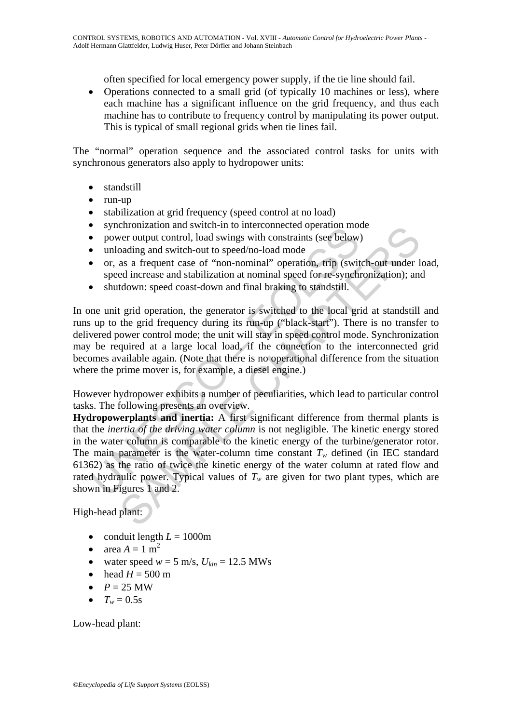often specified for local emergency power supply, if the tie line should fail.

• Operations connected to a small grid (of typically 10 machines or less), where each machine has a significant influence on the grid frequency, and thus each machine has to contribute to frequency control by manipulating its power output. This is typical of small regional grids when tie lines fail.

The "normal" operation sequence and the associated control tasks for units with synchronous generators also apply to hydropower units:

- standstill
- run-up
- stabilization at grid frequency (speed control at no load)
- synchronization and switch-in to interconnected operation mode
- power output control, load swings with constraints (see below)
- unloading and switch-out to speed/no-load mode
- or, as a frequent case of "non-nominal" operation, trip (switch-out under load, speed increase and stabilization at nominal speed for re-synchronization); and
- shutdown: speed coast-down and final braking to standstill.

In one unit grid operation, the generator is switched to the local grid at standstill and runs up to the grid frequency during its run-up ("black-start"). There is no transfer to delivered power control mode; the unit will stay in speed control mode. Synchronization may be required at a large local load, if the connection to the interconnected grid becomes available again. (Note that there is no operational difference from the situation where the prime mover is, for example, a diesel engine.)

However hydropower exhibits a number of peculiarities, which lead to particular control tasks. The following presents an overview.

• synchronization and switch-in to intercollected operation moto-<br>
• power output control, load swings with constraints (see below)<br>
• unloading and switch-out to speed/no-load mode<br>
• or, as a frequent case of "non-nomin contrazion and switch-in to interconnected operaton mode<br>ever output control. load swings with constraints (see below)<br>oading and switch-out to speed/no-load mode<br>as a frequent case of "non-nominal" operation, trip (switc **Hydropowerplants and inertia:** A first significant difference from thermal plants is that the *inertia of the driving water column* is not negligible. The kinetic energy stored in the water column is comparable to the kinetic energy of the turbine/generator rotor. The main parameter is the water-column time constant  $T_w$  defined (in IEC standard 61362) as the ratio of twice the kinetic energy of the water column at rated flow and rated hydraulic power. Typical values of  $T_w$  are given for two plant types, which are shown in Figures 1 and 2.

High-head plant:

- conduit length  $L = 1000$ m
- area  $A = 1$  m<sup>2</sup>
- water speed  $w = 5$  m/s,  $U_{kin} = 12.5$  MWs
- head  $H = 500$  m
- $P = 25$  MW
- $T_w = 0.5s$

Low-head plant: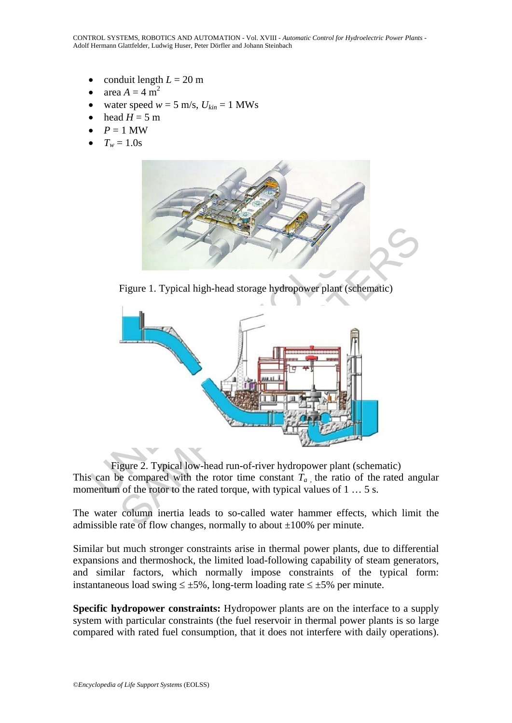CONTROL SYSTEMS, ROBOTICS AND AUTOMATION - Vol. XVIII - *Automatic Control for Hydroelectric Power Plants* - Adolf Hermann Glattfelder, Ludwig Huser, Peter Dörfler and Johann Steinbach

- conduit length  $L = 20$  m
- area  $A = 4$  m<sup>2</sup>
- water speed  $w = 5$  m/s,  $U_{kin} = 1$  MWs
- head  $H = 5$  m
- $\bullet$   $P = 1$  MW
- $T_w = 1.0s$



Figure 1. Typical high-head storage hydropower plant (schematic)



Figure 2. Typical low-head run-of-river hydropower plant (schematic) This can be compared with the rotor time constant  $T_a$ , the ratio of the rated angular momentum of the rotor to the rated torque, with typical values of 1 ... 5 s.

The water column inertia leads to so-called water hammer effects, which limit the admissible rate of flow changes, normally to about  $\pm 100\%$  per minute.

Similar but much stronger constraints arise in thermal power plants, due to differential expansions and thermoshock, the limited load-following capability of steam generators, and similar factors, which normally impose constraints of the typical form: instantaneous load swing  $\leq \pm 5\%$ , long-term loading rate  $\leq \pm 5\%$  per minute.

**Specific hydropower constraints:** Hydropower plants are on the interface to a supply system with particular constraints (the fuel reservoir in thermal power plants is so large compared with rated fuel consumption, that it does not interfere with daily operations).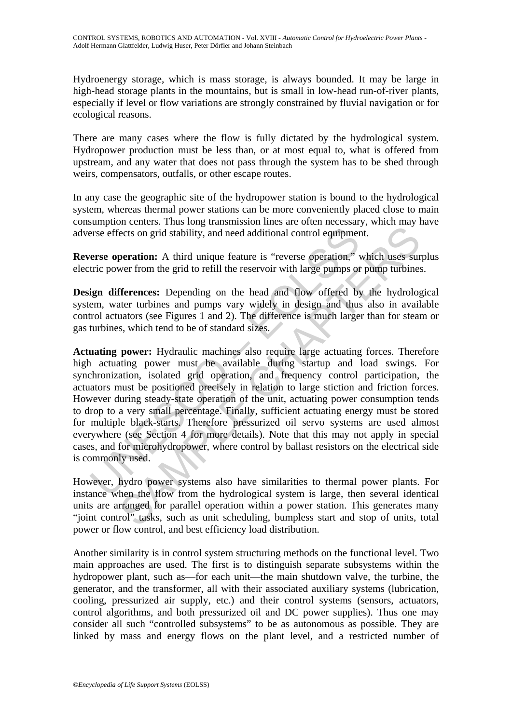Hydroenergy storage, which is mass storage, is always bounded. It may be large in high-head storage plants in the mountains, but is small in low-head run-of-river plants, especially if level or flow variations are strongly constrained by fluvial navigation or for ecological reasons.

There are many cases where the flow is fully dictated by the hydrological system. Hydropower production must be less than, or at most equal to, what is offered from upstream, and any water that does not pass through the system has to be shed through weirs, compensators, outfalls, or other escape routes.

In any case the geographic site of the hydropower station is bound to the hydrological system, whereas thermal power stations can be more conveniently placed close to main consumption centers. Thus long transmission lines are often necessary, which may have adverse effects on grid stability, and need additional control equipment.

**Reverse operation:** A third unique feature is "reverse operation," which uses surplus electric power from the grid to refill the reservoir with large pumps or pump turbines.

**Design differences:** Depending on the head and flow offered by the hydrological system, water turbines and pumps vary widely in design and thus also in available control actuators (see Figures 1 and 2). The difference is much larger than for steam or gas turbines, which tend to be of standard sizes.

erse effects on grid stability, and need additional control equipment<br>
erse operation: A third unique feature is "reverse operation,"<br>
tric power from the grid to refill the reservoir with large pumps or<br> **ign differences:** iects on grid stability, and need additional control equipment.<br>
ects on grid stability, and need additional control equipment.<br> **peration:** A third unique feature is "reverse operation," which uses surver from the grid to **Actuating power:** Hydraulic machines also require large actuating forces. Therefore high actuating power must be available during startup and load swings. For synchronization, isolated grid operation, and frequency control participation, the actuators must be positioned precisely in relation to large stiction and friction forces. However during steady-state operation of the unit, actuating power consumption tends to drop to a very small percentage. Finally, sufficient actuating energy must be stored for multiple black-starts. Therefore pressurized oil servo systems are used almost everywhere (see Section 4 for more details). Note that this may not apply in special cases, and for microhydropower, where control by ballast resistors on the electrical side is commonly used.

However, hydro power systems also have similarities to thermal power plants. For instance when the flow from the hydrological system is large, then several identical units are arranged for parallel operation within a power station. This generates many "joint control" tasks, such as unit scheduling, bumpless start and stop of units, total power or flow control, and best efficiency load distribution.

Another similarity is in control system structuring methods on the functional level. Two main approaches are used. The first is to distinguish separate subsystems within the hydropower plant, such as—for each unit—the main shutdown valve, the turbine, the generator, and the transformer, all with their associated auxiliary systems (lubrication, cooling, pressurized air supply, etc.) and their control systems (sensors, actuators, control algorithms, and both pressurized oil and DC power supplies). Thus one may consider all such "controlled subsystems" to be as autonomous as possible. They are linked by mass and energy flows on the plant level, and a restricted number of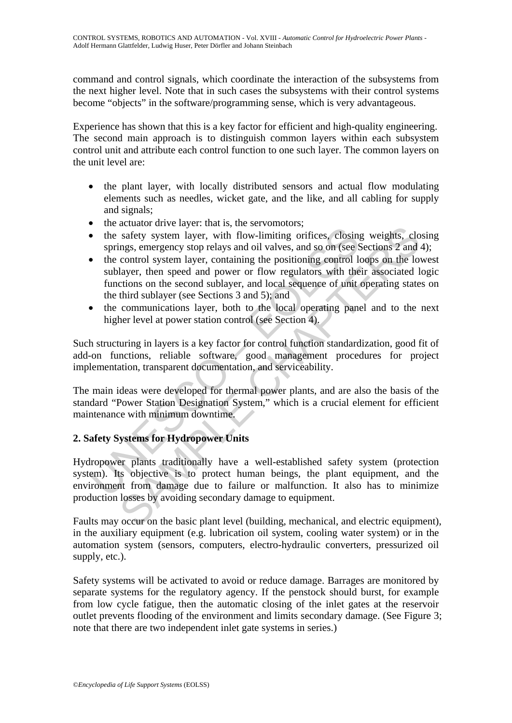command and control signals, which coordinate the interaction of the subsystems from the next higher level. Note that in such cases the subsystems with their control systems become "objects" in the software/programming sense, which is very advantageous.

Experience has shown that this is a key factor for efficient and high-quality engineering. The second main approach is to distinguish common layers within each subsystem control unit and attribute each control function to one such layer. The common layers on the unit level are:

- the plant layer, with locally distributed sensors and actual flow modulating elements such as needles, wicket gate, and the like, and all cabling for supply and signals;
- the actuator drive layer: that is, the servomotors;
- the safety system layer, with flow-limiting orifices, closing weights, closing springs, emergency stop relays and oil valves, and so on (see Sections 2 and 4);
- The safety system layer, with flow-limiting orifices, closing<br>springs, emergency stop relays and oil valves, and so on (see S<br>the control system layer, with flow-limiting orifices, closing<br>springs, emergency stop relays an exament arise univer signal and solutions, and solutions and solety system layer, with flow-limiting orifices, closing weights, closings, emergency stop relays and oil valves, and so on (see Sections 2 and control system l • the control system layer, containing the positioning control loops on the lowest sublayer, then speed and power or flow regulators with their associated logic functions on the second sublayer, and local sequence of unit operating states on the third sublayer (see Sections 3 and 5); and
- the communications layer, both to the local operating panel and to the next higher level at power station control (see Section 4).

Such structuring in layers is a key factor for control function standardization, good fit of add-on functions, reliable software, good management procedures for project implementation, transparent documentation, and serviceability.

The main ideas were developed for thermal power plants, and are also the basis of the standard "Power Station Designation System," which is a crucial element for efficient maintenance with minimum downtime.

# **2. Safety Systems for Hydropower Units**

Hydropower plants traditionally have a well-established safety system (protection system). Its objective is to protect human beings, the plant equipment, and the environment from damage due to failure or malfunction. It also has to minimize production losses by avoiding secondary damage to equipment.

Faults may occur on the basic plant level (building, mechanical, and electric equipment), in the auxiliary equipment (e.g. lubrication oil system, cooling water system) or in the automation system (sensors, computers, electro-hydraulic converters, pressurized oil supply, etc.).

Safety systems will be activated to avoid or reduce damage. Barrages are monitored by separate systems for the regulatory agency. If the penstock should burst, for example from low cycle fatigue, then the automatic closing of the inlet gates at the reservoir outlet prevents flooding of the environment and limits secondary damage. (See Figure 3; note that there are two independent inlet gate systems in series.)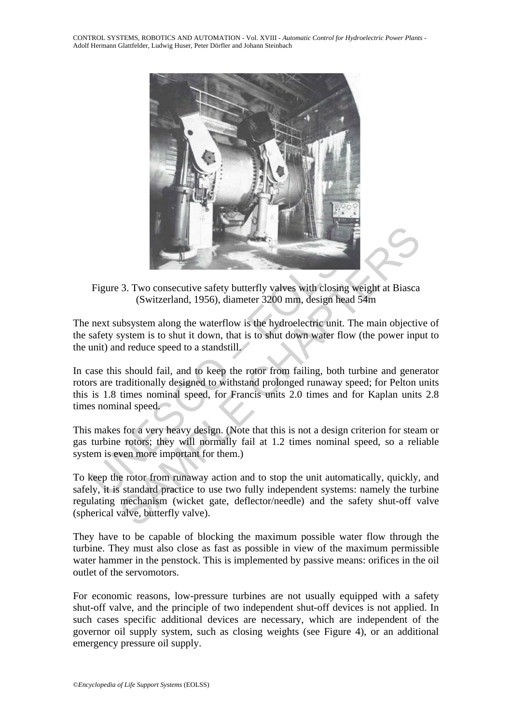CONTROL SYSTEMS, ROBOTICS AND AUTOMATION - Vol. XVIII - *Automatic Control for Hydroelectric Power Plants* - Adolf Hermann Glattfelder, Ludwig Huser, Peter Dörfler and Johann Steinbach



Figure 3. Two consecutive safety butterfly valves with closing weight at Biasca (Switzerland, 1956), diameter 3200 mm, design head 54m

The next subsystem along the waterflow is the hydroelectric unit. The main objective of the safety system is to shut it down, that is to shut down water flow (the power input to the unit) and reduce speed to a standstill.

Figure 3. Two consecutive safety butterfly valves with closing we (Switzerland, 1956), diameter 3200 mm, design head 5 next subsystem along the waterflow is the hydroelectric unit. The safety system is to shut it down, tha In case this should fail, and to keep the rotor from failing, both turbine and generator rotors are traditionally designed to withstand prolonged runaway speed; for Pelton units this is 1.8 times nominal speed, for Francis units 2.0 times and for Kaplan units 2.8 times nominal speed.

This makes for a very heavy design. (Note that this is not a design criterion for steam or gas turbine rotors; they will normally fail at 1.2 times nominal speed, so a reliable system is even more important for them.)

To keep the rotor from runaway action and to stop the unit automatically, quickly, and safely, it is standard practice to use two fully independent systems: namely the turbine regulating mechanism (wicket gate, deflector/needle) and the safety shut-off valve (spherical valve, butterfly valve).

They have to be capable of blocking the maximum possible water flow through the turbine. They must also close as fast as possible in view of the maximum permissible water hammer in the penstock. This is implemented by passive means: orifices in the oil outlet of the servomotors.

For economic reasons, low-pressure turbines are not usually equipped with a safety shut-off valve, and the principle of two independent shut-off devices is not applied. In such cases specific additional devices are necessary, which are independent of the governor oil supply system, such as closing weights (see Figure 4), or an additional emergency pressure oil supply.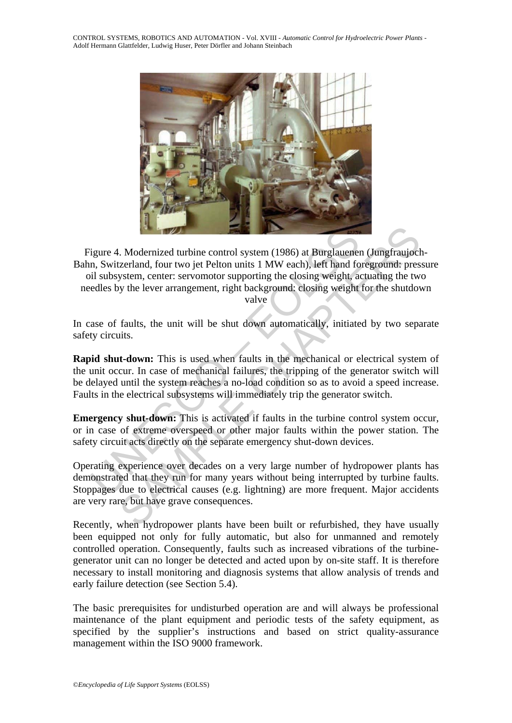CONTROL SYSTEMS, ROBOTICS AND AUTOMATION - Vol. XVIII - *Automatic Control for Hydroelectric Power Plants* - Adolf Hermann Glattfelder, Ludwig Huser, Peter Dörfler and Johann Steinbach



igure 4. Modernized turbine control system (1986) at Burglauenen, Switzerland, four two jet Pelton units 1 MW each), left hand foil subsystem, center: servomotor supporting the closing weight, and edles by the lever arrang Example 2.1 Modernized turbine control system (1986) at Burglauenen (Jungfranjoct<br>zerland, four two jet Pelton units 1 MW each), left hand foreground: press<br>ystem, center: servomotor supporting the closing weight, actuati Figure 4. Modernized turbine control system (1986) at Burglauenen (Jungfraujoch-Bahn, Switzerland, four two jet Pelton units 1 MW each), left hand foreground: pressure oil subsystem, center: servomotor supporting the closing weight, actuating the two needles by the lever arrangement, right background: closing weight for the shutdown valve

In case of faults, the unit will be shut down automatically, initiated by two separate safety circuits.

**Rapid shut-down:** This is used when faults in the mechanical or electrical system of the unit occur. In case of mechanical failures, the tripping of the generator switch will be delayed until the system reaches a no-load condition so as to avoid a speed increase. Faults in the electrical subsystems will immediately trip the generator switch.

**Emergency shut-down:** This is activated if faults in the turbine control system occur, or in case of extreme overspeed or other major faults within the power station. The safety circuit acts directly on the separate emergency shut-down devices.

Operating experience over decades on a very large number of hydropower plants has demonstrated that they run for many years without being interrupted by turbine faults. Stoppages due to electrical causes (e.g. lightning) are more frequent. Major accidents are very rare, but have grave consequences.

Recently, when hydropower plants have been built or refurbished, they have usually been equipped not only for fully automatic, but also for unmanned and remotely controlled operation. Consequently, faults such as increased vibrations of the turbinegenerator unit can no longer be detected and acted upon by on-site staff. It is therefore necessary to install monitoring and diagnosis systems that allow analysis of trends and early failure detection (see Section 5.4).

The basic prerequisites for undisturbed operation are and will always be professional maintenance of the plant equipment and periodic tests of the safety equipment, as specified by the supplier's instructions and based on strict quality-assurance management within the ISO 9000 framework.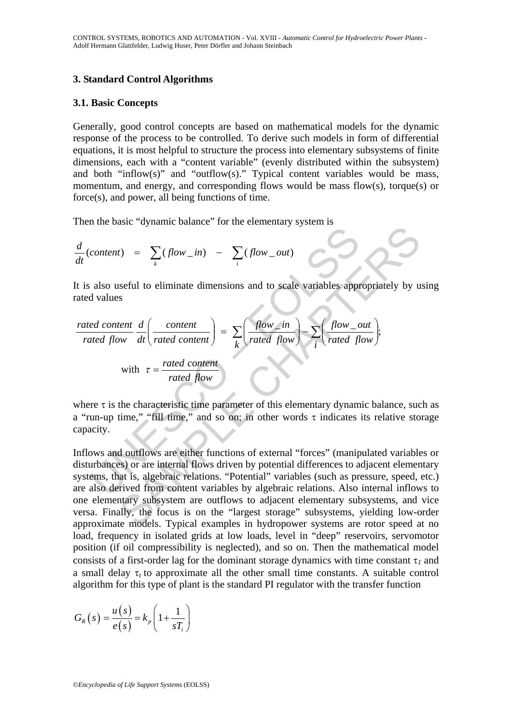### **3. Standard Control Algorithms**

#### **3.1. Basic Concepts**

Generally, good control concepts are based on mathematical models for the dynamic response of the process to be controlled. To derive such models in form of differential equations, it is most helpful to structure the process into elementary subsystems of finite dimensions, each with a "content variable" (evenly distributed within the subsystem) and both "inflow(s)" and "outflow(s)." Typical content variables would be mass, momentum, and energy, and corresponding flows would be mass flow(s), torque(s) or force(s), and power, all being functions of time.

Then the basic "dynamic balance" for the elementary system is

$$
\frac{d}{dt}(content) = \sum_{k} (flow\_in) - \sum_{i} (flow\_out)
$$

It is also useful to eliminate dimensions and to scale variables appropriately by using rated values

$$
\frac{d}{dt}(content) = \sum_{k} (flow\_in) - \sum_{i} (flow\_out)
$$
\nIt is also useful to eliminate dimensions and to scale variables appropriate  
\nrated values\n
$$
\frac{rated content}{dt} \frac{d}{dt} \left( \frac{content}{rated content} \right) = \sum_{k} \left( \frac{flow\_in}{rated flow} \right) - \sum_{i} \left( \frac{flow\_out}{rated flow} \right);
$$
\nwith  $\tau = \frac{rated content}{rated flow}$ \nwhere  $\tau$  is the characteristic time parameter of this elementary dynamic ba  
\n"run-up time," "fill time," and so on; in other words  $\tau$  indicates its re  
\nrapacity.\n\nInflows and outflows are either functions of external "forces" (manipulate  
\nlisturbances) or are internal flows driven by potential differences to adjacency  
\nsystems, that is, algebraic relations. "Potential" variables (such as pressure  
\nalso derived from content variables by algebraic relations. Also intern

where  $\tau$  is the characteristic time parameter of this elementary dynamic balance, such as a "run-up time," "fill time," and so on; in other words τ indicates its relative storage capacity.

 $f(t) = \sum_{k} (flow\_in) - \sum_{i} (flow\_out)$ <br>
sectiul to eliminate dimensions and to scale variables appropriately by u<br>
set<br>  $\frac{1}{(d\pi t)^2} \left( \frac{1}{\pi \tan t} \right) = \sum_{k} \left( \frac{flow\_in}{\pi \tan t} \right) - \sum_{i} \left( \frac{flow\_out}{\pi \tan t} \right)$ <br>
with  $\tau = \frac{\pi \tan t}{\pi \tan t}$  and Inflows and outflows are either functions of external "forces" (manipulated variables or disturbances) or are internal flows driven by potential differences to adjacent elementary systems, that is, algebraic relations. "Potential" variables (such as pressure, speed, etc.) are also derived from content variables by algebraic relations. Also internal inflows to one elementary subsystem are outflows to adjacent elementary subsystems, and vice versa. Finally, the focus is on the "largest storage" subsystems, yielding low-order approximate models. Typical examples in hydropower systems are rotor speed at no load, frequency in isolated grids at low loads, level in "deep" reservoirs, servomotor position (if oil compressibility is neglected), and so on. Then the mathematical model consists of a first-order lag for the dominant storage dynamics with time constant τ*1* and a small delay  $\tau_t$  to approximate all the other small time constants. A suitable control algorithm for this type of plant is the standard PI regulator with the transfer function

$$
G_R(s) = \frac{u(s)}{e(s)} = k_p \left(1 + \frac{1}{sT_i}\right)
$$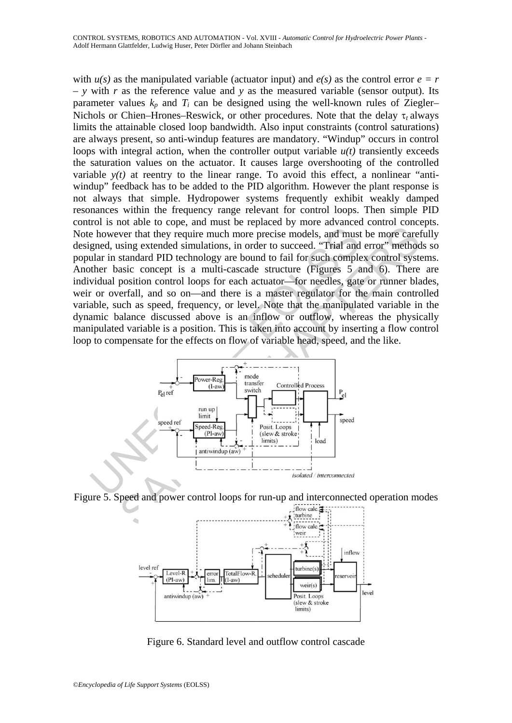Exercise to control loops for run-up and interconnected<br>prediction of the control of the control of the control of the standard PID technology are bound to fail for such as<br>sing extended simulations, in order to succeed. with  $u(s)$  as the manipulated variable (actuator input) and  $e(s)$  as the control error  $e = r$ *– y* with *r* as the reference value and *y* as the measured variable (sensor output). Its parameter values  $k_p$  and  $T_i$  can be designed using the well-known rules of Ziegler– Nichols or Chien–Hrones–Reswick, or other procedures. Note that the delay  $\tau_t$  always limits the attainable closed loop bandwidth. Also input constraints (control saturations) are always present, so anti-windup features are mandatory. "Windup" occurs in control loops with integral action, when the controller output variable  $u(t)$  transiently exceeds the saturation values on the actuator. It causes large overshooting of the controlled variable  $y(t)$  at reentry to the linear range. To avoid this effect, a nonlinear "antiwindup" feedback has to be added to the PID algorithm. However the plant response is not always that simple. Hydropower systems frequently exhibit weakly damped resonances within the frequency range relevant for control loops. Then simple PID control is not able to cope, and must be replaced by more advanced control concepts. Note however that they require much more precise models, and must be more carefully designed, using extended simulations, in order to succeed. "Trial and error" methods so popular in standard PID technology are bound to fail for such complex control systems. Another basic concept is a multi-cascade structure (Figures 5 and 6). There are individual position control loops for each actuator—for needles, gate or runner blades, weir or overfall, and so on—and there is a master regulator for the main controlled variable, such as speed, frequency, or level. Note that the manipulated variable in the dynamic balance discussed above is an inflow or outflow, whereas the physically manipulated variable is a position. This is taken into account by inserting a flow control loop to compensate for the effects on flow of variable head, speed, and the like.



Figure 5. Speed and power control loops for run-up and interconnected operation modes



Figure 6. Standard level and outflow control cascade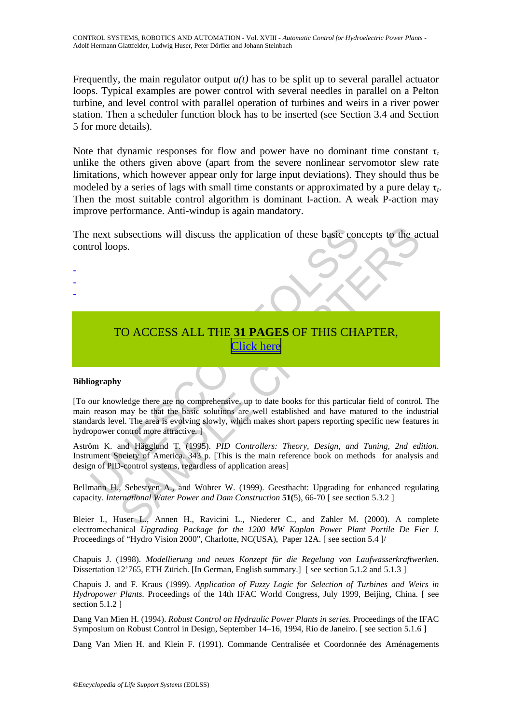Frequently, the main regulator output  $u(t)$  has to be split up to several parallel actuator loops. Typical examples are power control with several needles in parallel on a Pelton turbine, and level control with parallel operation of turbines and weirs in a river power station. Then a scheduler function block has to be inserted (see Section 3.4 and Section 5 for more details).

Note that dynamic responses for flow and power have no dominant time constant  $\tau$ , unlike the others given above (apart from the severe nonlinear servomotor slew rate limitations, which however appear only for large input deviations). They should thus be modeled by a series of lags with small time constants or approximated by a pure delay τ*t*. Then the most suitable control algorithm is dominant I-action. A weak P-action may improve performance. Anti-windup is again mandatory.

The next subsections will discuss the application of these basic concepts to the actual control loops.

> TO ACCESS ALL THE **31 PAGES** OF THIS CHAPTER, Click here

#### **Bibliography**

- - -

next subsections will discuss the application of these basic control loops.<br>
T[O](https://www.eolss.net/ebooklib/sc_cart.aspx?File=E6-43-33-04)ACC[E](https://www.eolss.net/ebooklib/sc_cart.aspx?File=E6-43-33-04)SS ALL THE 31 PAGES OF THIS CHA<br>
Click here<br>
tography<br>
our knowledge there are no comprehensive, up to date books for this particular<br>
rea ubsections will discuss the application of these basic concepts to the ac<br>ps.<br><br>
PS.<br>
CO ACCESS ALL THE 31 PAGES OF THIS CHAPTER,<br>
Used<br>
We are a reader of comprehensive, up to date books for this particular field of contro [To our knowledge there are no comprehensive, up to date books for this particular field of control. The main reason may be that the basic solutions are well established and have matured to the industrial standards level. The area is evolving slowly, which makes short papers reporting specific new features in hydropower control more attractive. ]

Aström K. and Hägglund T. (1995). *PID Controllers: Theory, Design, and Tuning, 2nd edition*. Instrument Society of America. 343 p. [This is the main reference book on methods for analysis and design of PID-control systems, regardless of application areas]

Bellmann H., Sebestyen A., and Wührer W. (1999). Geesthacht: Upgrading for enhanced regulating capacity. *International Water Power and Dam Construction* **51(**5), 66-70 [ see section 5.3.2 ]

Bleier I., Huser L., Annen H., Ravicini L., Niederer C., and Zahler M. (2000). A complete electromechanical *Upgrading Package for the 1200 MW Kaplan Power Plant Portile De Fier I.* Proceedings of "Hydro Vision 2000", Charlotte, NC(USA), Paper 12A. [ see section 5.4 ]/

Chapuis J. (1998). *Modellierung und neues Konzept für die Regelung von Laufwasserkraftwerken*. Dissertation 12'765, ETH Zürich. [In German, English summary.] [see section 5.1.2 and 5.1.3 ]

Chapuis J. and F. Kraus (1999). *Application of Fuzzy Logic for Selection of Turbines and Weirs in Hydropower Plants*. Proceedings of the 14th IFAC World Congress, July 1999, Beijing, China. [ see section 5.1.2 ]

Dang Van Mien H. (1994). *Robust Control on Hydraulic Power Plants in series*. Proceedings of the IFAC Symposium on Robust Control in Design, September 14–16, 1994, Rio de Janeiro. [ see section 5.1.6 ]

Dang Van Mien H. and Klein F. (1991). Commande Centralisée et Coordonnée des Aménagements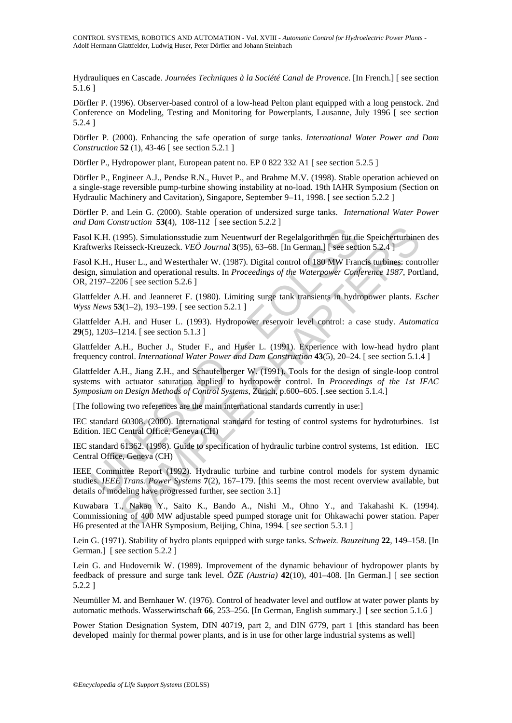Hydrauliques en Cascade. *Journées Techniques à la Société Canal de Provence*. [In French.] [ see section 5.1.6 ]

Dörfler P. (1996). Observer-based control of a low-head Pelton plant equipped with a long penstock. 2nd Conference on Modeling, Testing and Monitoring for Powerplants, Lausanne, July 1996 [ see section 5.2.4 ]

Dörfler P. (2000). Enhancing the safe operation of surge tanks. *International Water Power and Dam Construction* **52** (1), 43-46 [ see section 5.2.1 ]

Dörfler P., Hydropower plant, European patent no. EP 0 822 332 A1 [ see section 5.2.5 ]

Dörfler P., Engineer A.J., Pendse R.N., Huvet P., and Brahme M.V. (1998). Stable operation achieved on a single-stage reversible pump-turbine showing instability at no-load. 19th IAHR Symposium (Section on Hydraulic Machinery and Cavitation), Singapore, September 9–11, 1998. [ see section 5.2.2 ]

Dörfler P. and Lein G. (2000). Stable operation of undersized surge tanks. *International Water Power and Dam Construction* **53(**4), 108-112 [ see section 5.2.2 ]

Fasol K.H. (1995). Simulationsstudie zum Neuentwurf der Regelalgorithmen für die Speicherturbinen des Kraftwerks Reisseck-Kreuzeck. *VEÖ Journal* **3**(95), 63–68. [In German.] [ see section 5.2.4 ]

Fasol K.H., Huser L., and Westerthaler W. (1987). Digital control of 180 MW Francis turbines: controller design, simulation and operational results. In *Proceedings of the Waterpower Conference 1987*, Portland, OR, 2197–2206 [ see section 5.2.6 ]

Glattfelder A.H. and Jeanneret F. (1980). Limiting surge tank transients in hydropower plants. *Escher Wyss News* **53**(1–2), 193–199. [ see section 5.2.1 ]

Glattfelder A.H. and Huser L. (1993). Hydropower reservoir level control: a case study. *Automatica* **29**(5), 1203–1214. [ see section 5.1.3 ]

Glattfelder A.H., Bucher J., Studer F., and Huser L. (1991). Experience with low-head hydro plant frequency control. *International Water Power and Dam Construction* **43**(5), 20–24. [ see section 5.1.4 ]

Glattfelder A.H., Jiang Z.H., and Schaufelberger W. (1991). Tools for the design of single-loop control systems with actuator saturation applied to hydropower control. In *Proceedings of the 1st IFAC Symposium on Design Methods of Control Systems*, Zürich, p.600–605. [.see section 5.1.4.]

[The following two references are the main international standards currently in use:]

IEC standard 60308. (2000). International standard for testing of control systems for hydroturbines. 1st Edition. IEC Central Office, Geneva (CH)

IEC standard 61362. (1998). Guide to specification of hydraulic turbine control systems, 1st edition. IEC Central Office, Geneva (CH)

I K.H. (1995). Simulationsstudie zum Neuentwurf der Regelalgorithmen für dit werks Reisseck-Kreuzeck. *VEÖ Journal* 3(95), 63–68. [In German.] [ see section, I. K.H., Huser L., and Westerthaler W. (1987). Digital control **EVALUATION**<br>
1995). Simulations studie zum Neuentwurf der Regelalgorithmen für die Speicherturbine<br>
ciesseck-Kreuzeck. *VEÖ Journal* 3(95), 63–68. [In German.] [ see section 5.2.4 ]<br>
1user L., and Westerthaler W. (1987). IEEE Committee Report (1992). Hydraulic turbine and turbine control models for system dynamic studies. *IEEE Trans. Power Systems* **7**(2), 167–179. [this seems the most recent overview available, but details of modeling have progressed further, see section 3.1]

Kuwabara T., Nakao Y., Saito K., Bando A., Nishi M., Ohno Y., and Takahashi K. (1994). Commissioning of 400 MW adjustable speed pumped storage unit for Ohkawachi power station. Paper H6 presented at the IAHR Symposium, Beijing, China, 1994. [ see section 5.3.1 ]

Lein G. (1971). Stability of hydro plants equipped with surge tanks. *Schweiz. Bauzeitung* **22**, 149–158. [In German.] [ see section 5.2.2 ]

Lein G. and Hudovernik W. (1989). Improvement of the dynamic behaviour of hydropower plants by feedback of pressure and surge tank level. *ÖZE (Austria)* **42**(10), 401–408. [In German.] [ see section 5.2.2 ]

Neumüller M. and Bernhauer W. (1976). Control of headwater level and outflow at water power plants by automatic methods. Wasserwirtschaft **66**, 253–256. [In German, English summary.] [ see section 5.1.6 ]

Power Station Designation System, DIN 40719, part 2, and DIN 6779, part 1 [this standard has been developed mainly for thermal power plants, and is in use for other large industrial systems as well]